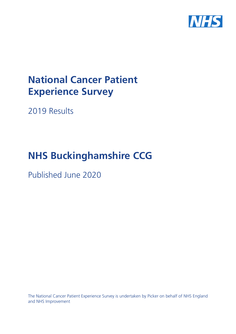

# **National Cancer Patient Experience Survey**

2019 Results

# **NHS Buckinghamshire CCG**

Published June 2020

The National Cancer Patient Experience Survey is undertaken by Picker on behalf of NHS England and NHS Improvement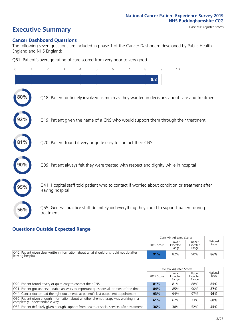# **Executive Summary** Case Mix Adjusted scores

### **Cancer Dashboard Questions**

The following seven questions are included in phase 1 of the Cancer Dashboard developed by Public Health England and NHS England:

Q61. Patient's average rating of care scored from very poor to very good

| $\Omega$ | $\overline{2}$                                                | 3 | 4 | 5 | 6 | 7 | 8   | 9 | 10                                                                                            |  |
|----------|---------------------------------------------------------------|---|---|---|---|---|-----|---|-----------------------------------------------------------------------------------------------|--|
|          |                                                               |   |   |   |   |   | 8.8 |   |                                                                                               |  |
| 80%      |                                                               |   |   |   |   |   |     |   | Q18. Patient definitely involved as much as they wanted in decisions about care and treatment |  |
|          |                                                               |   |   |   |   |   |     |   | Q19. Patient given the name of a CNS who would support them through their treatment           |  |
| 81%      | Q20. Patient found it very or quite easy to contact their CNS |   |   |   |   |   |     |   |                                                                                               |  |
|          |                                                               |   |   |   |   |   |     |   | Q39. Patient always felt they were treated with respect and dignity while in hospital         |  |
|          | leaving hospital                                              |   |   |   |   |   |     |   | Q41. Hospital staff told patient who to contact if worried about condition or treatment after |  |
| 56%      | treatment                                                     |   |   |   |   |   |     |   | Q55. General practice staff definitely did everything they could to support patient during    |  |

## **Questions Outside Expected Range**

|                                                                                                           |            | Case Mix Adjusted Scores   |                            |                   |
|-----------------------------------------------------------------------------------------------------------|------------|----------------------------|----------------------------|-------------------|
|                                                                                                           | 2019 Score | Lower<br>Expected<br>Range | Upper<br>Expected<br>Range | National<br>Score |
| Q40. Patient given clear written information about what should or should not do after<br>leaving hospital | 91%        | 82%                        | 90%                        | 86%               |

|                                                                                                                    |            | Case Mix Adjusted Scores   |                            |                   |
|--------------------------------------------------------------------------------------------------------------------|------------|----------------------------|----------------------------|-------------------|
|                                                                                                                    | 2019 Score | Lower<br>Expected<br>Range | Upper<br>Expected<br>Range | National<br>Score |
| Q20. Patient found it very or quite easy to contact their CNS                                                      | 81%        | 81%                        | 88%                        | 85%               |
| $\sqrt{Q}$ 21. Patient got understandable answers to important questions all or most of the time                   | 84%        | 85%                        | 90%                        | 87%               |
| Q44. Cancer doctor had the right documents at patient's last outpatient appointment                                | 93%        | 94%                        | 97%                        | 96%               |
| O50. Patient given enough information about whether chemotherapy was working in a<br>completely understandable way | 61%        | 62%                        | 73%                        | 68%               |
| O53. Patient definitely given enough support from health or social services after treatment                        | 36%        | 38%                        | 52%                        | 45%               |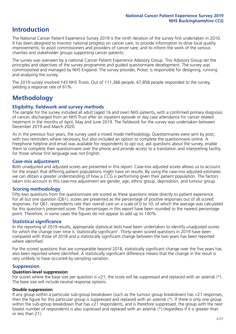# **Introduction**

The National Cancer Patient Experience Survey 2019 is the ninth iteration of the survey first undertaken in 2010. It has been designed to monitor national progress on cancer care; to provide information to drive local quality improvements; to assist commissioners and providers of cancer care; and to inform the work of the various charities and stakeholder groups supporting cancer patients.

The survey was overseen by a national Cancer Patient Experience Advisory Group. This Advisory Group set the principles and objectives of the survey programme and guided questionnaire development. The survey was commissioned and managed by NHS England. The survey provider, Picker, is responsible for designing, running and analysing the survey.

The 2019 survey involved 143 NHS Trusts. Out of 111,366 people, 67,858 people responded to the survey, yielding a response rate of 61%.

# **Methodology**

### **Eligibility, eldwork and survey methods**

The sample for the survey included all adult (aged 16 and over) NHS patients, with a confirmed primary diagnosis of cancer, discharged from an NHS Trust after an inpatient episode or day case attendance for cancer related treatment in the months of April, May and June 2019. The fieldwork for the survey was undertaken between December 2019 and March 2020.

As in the previous four years, the survey used a mixed mode methodology. Questionnaires were sent by post, with two reminders where necessary, but also included an option to complete the questionnaire online. A Freephone helpline and email was available for respondents to opt out, ask questions about the survey, enable them to complete their questionnaire over the phone and provide access to a translation and interpreting facility for those whose first language was not English.

### **Case-mix adjustment**

Both unadjusted and adjusted scores are presented in this report. Case-mix adjusted scores allows us to account for the impact that differing patient populations might have on results. By using the case-mix adjusted estimates we can obtain a greater understanding of how a CCG is performing given their patient population. The factors taken into account in this case-mix adjustment are gender, age, ethnic group, deprivation, and tumour group.

### **Scoring methodology**

Fifty-two questions from the questionnaire are scored as these questions relate directly to patient experience. For all but one question (Q61), scores are presented as the percentage of positive responses out of all scored responses. For Q61, respondents rate their overall care on a scale of 0 to 10, of which the average was calculated for this question's presented score. The percentages in this report have been rounded to the nearest percentage point. Therefore, in some cases the figures do not appear to add up to 100%.

### **Statistical significance**

In the reporting of 2019 results, appropriate statistical tests have been undertaken to identify unadjusted scores for which the change over time is 'statistically significant'. Thirty-seven scored questions in 2019 have been compared with those of 2018 and a statistically significant change between the two years has been reported where identified.

For the scored questions that are comparable beyond 2018, statistically significant change over the five years has also been reported where identified. A statistically significant difference means that the change in the result is very unlikely to have occurred by sampling variation.

### **Suppression**

### **Question-level suppression**

For scores where the base size per question is  $<$ 21, the score will be suppressed and replaced with an asterisk (\*). The base size will include neutral response options.

### **Double suppression**

If any group within a particular sub-group breakdown (such as the tumour group breakdown) has <21 responses, then the figure for this particular group is suppressed and replaced with an asterisk (\*). If there is only one group within the sub-group breakdown that has <21 respondents, and is therefore suppressed, the group with the next lowest number of respondents is also supressed and replaced with an asterisk (\*) (regardless if it is greater than or less than 21).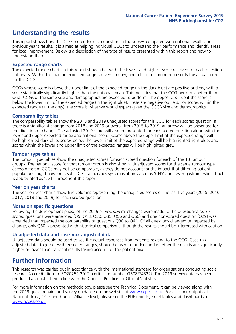# **Understanding the results**

This report shows how this CCG scored for each question in the survey, compared with national results and previous year's results. It is aimed at helping individual CCGs to understand their performance and identify areas for local improvement. Below is a description of the type of results presented within this report and how to understand them.

### **Expected range charts**

The expected range charts in this report show a bar with the lowest and highest score received for each question nationally. Within this bar, an expected range is given (in grey) and a black diamond represents the actual score for this CCG.

CCGs whose score is above the upper limit of the expected range (in the dark blue) are positive outliers, with a score statistically significantly higher than the national mean. This indicates that the CCG performs better than what CCGs of the same size and demographics are expected to perform. The opposite is true if the score is below the lower limit of the expected range (in the light blue); these are negative outliers. For scores within the expected range (in the grey), the score is what we would expect given the CCG's size and demographics.

### **Comparability tables**

The comparability tables show the 2018 and 2019 unadjusted scores for this CCG for each scored question. If there is a significant change from 2018 and 2019 or overall from 2015 to 2019, an arrow will be presented for the direction of change. The adjusted 2019 score will also be presented for each scored question along with the lower and upper expected range and national score. Scores above the upper limit of the expected range will be highlighted dark blue, scores below the lower limit of the expected range will be highlighted light blue, and scores within the lower and upper limit of the expected ranges will be highlighted grey.

### **Tumour type tables**

The tumour type tables show the unadjusted scores for each scored question for each of the 13 tumour groups. The national score for that tumour group is also shown. Unadjusted scores for the same tumour type across different CCGs may not be comparable, as they do not account for the impact that differing patient populations might have on results. Central nervous system is abbreviated as 'CNS' and lower gastrointestinal tract is abbreviated as 'LGT' throughout this report.

### **Year on year charts**

The year on year charts show five columns representing the unadjusted scores of the last five years (2015, 2016, 2017, 2018 and 2019) for each scored question.

### **Notes on specific questions**

Following the development phase of the 2019 survey, several changes were made to the questionnaire. Six scored questions were amended (Q5, Q18, Q30, Q35, Q56 and Q60) and one non-scored question (Q29) was amended that impacted the comparability of questions Q30 to Q41. Of all questions changed or impacted by change, only Q60 is presented with historical comparisons; though the results should be interpreted with caution.

### **Unadjusted data and case-mix adjusted data**

Unadjusted data should be used to see the actual responses from patients relating to the CCG. Case-mix adjusted data, together with expected ranges, should be used to understand whether the results are significantly higher or lower than national results taking account of the patient mix.

# **Further information**

This research was carried out in accordance with the international standard for organisations conducting social research (accreditation to ISO20252:2012; certificate number GB08/74322). The 2019 survey data has been produced and published in line with the Code of Practice for Official Statistics.

For more information on the methodology, please see the Technical Document. It can be viewed along with the 2019 questionnaire and survey quidance on the website at [www.ncpes.co.uk](https://www.ncpes.co.uk/supporting-documents). For all other outputs at National, Trust, CCG and Cancer Alliance level, please see the PDF reports, Excel tables and dashboards at [www.ncpes.co.uk.](https://www.ncpes.co.uk/current-results)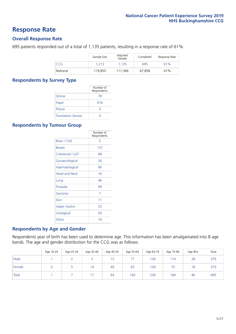# **Response Rate**

### **Overall Response Rate**

695 patients responded out of a total of 1,135 patients, resulting in a response rate of 61%.

|          | Sample Size | Adjusted<br>Sample | Completed | Response Rate |
|----------|-------------|--------------------|-----------|---------------|
| CCG      | 1.213       | 1.135              | 695       | 61%           |
| National | 119,855     | 111.366            | 67.858    | 61%           |

### **Respondents by Survey Type**

|                            | Number of<br>Respondents |
|----------------------------|--------------------------|
| Online                     | 79                       |
| Paper                      | 616                      |
| Phone                      | $\left( \right)$         |
| <b>Translation Service</b> |                          |

### **Respondents by Tumour Group**

|                      | Number of<br>Respondents |
|----------------------|--------------------------|
| <b>Brain / CNS</b>   | 5                        |
| <b>Breast</b>        | 137                      |
| Colorectal / LGT     | 68                       |
| Gynaecological       | 26                       |
| Haematological       | 90                       |
| <b>Head and Neck</b> | 16                       |
| Lung                 | 46                       |
| Prostate             | 99                       |
| Sarcoma              | 7                        |
| Skin                 | 11                       |
| <b>Upper Gastro</b>  | 23                       |
| Urological           | 93                       |
| Other                | 74                       |

### **Respondents by Age and Gender**

Respondents year of birth has been used to determine age. This information has been amalgamated into 8 age bands. The age and gender distribution for the CCG was as follows:

|        | Age 16-24 | Age 25-34 | Age 35-44 | Age 45-54 | Age 55-64 | Age 65-74 | Age 75-84 | Age 85+ | Total |
|--------|-----------|-----------|-----------|-----------|-----------|-----------|-----------|---------|-------|
| Male   |           |           |           | 15        |           | 136       | 114       | 28      | 376   |
| Female |           |           | 14        | 49        | 63        | 100       | 70        | 18      | 319   |
| Total  |           |           | 17        | 64        | 140       | 236       | 184       | 46      | 695   |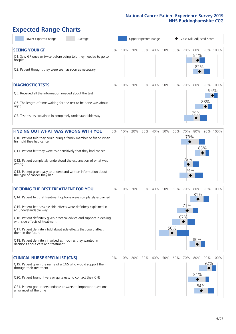# **Expected Range Charts**

| Lower Expected Range<br>Average                                                                                                                                                                                                                                                                                                                                                                                                                                                                                             |       |     |     | Upper Expected Range |     |     |            | Case Mix Adjusted Score  |                   |     |                 |
|-----------------------------------------------------------------------------------------------------------------------------------------------------------------------------------------------------------------------------------------------------------------------------------------------------------------------------------------------------------------------------------------------------------------------------------------------------------------------------------------------------------------------------|-------|-----|-----|----------------------|-----|-----|------------|--------------------------|-------------------|-----|-----------------|
| <b>SEEING YOUR GP</b><br>Q1. Saw GP once or twice before being told they needed to go to<br>hospital<br>Q2. Patient thought they were seen as soon as necessary                                                                                                                                                                                                                                                                                                                                                             | 0%    | 10% | 20% | 30% 40%              |     | 50% | 60%        | 70%                      | 80%<br>81%<br>82% |     | 90% 100%        |
| <b>DIAGNOSTIC TESTS</b><br>Q5. Received all the information needed about the test<br>Q6. The length of time waiting for the test to be done was about<br>right<br>Q7. Test results explained in completely understandable way                                                                                                                                                                                                                                                                                               | 0%    | 10% | 20% | 30%                  | 40% | 50% | 60%        | 70%                      | 80%<br>79%        | 88% | 90% 100%<br>95% |
| <b>FINDING OUT WHAT WAS WRONG WITH YOU</b><br>Q10. Patient told they could bring a family member or friend when<br>first told they had cancer<br>Q11. Patient felt they were told sensitively that they had cancer<br>Q12. Patient completely understood the explanation of what was<br>wrong<br>Q13. Patient given easy to understand written information about<br>the type of cancer they had                                                                                                                             | $0\%$ | 10% | 20% | 30%                  | 40% | 50% | 60%        | 70%<br>73%<br>72%<br>74% | 80%               | 85% | 90% 100%        |
| <b>DECIDING THE BEST TREATMENT FOR YOU</b><br>Q14. Patient felt that treatment options were completely explained<br>Q15. Patient felt possible side effects were definitely explained in<br>an understandable way<br>Q16. Patient definitely given practical advice and support in dealing<br>with side effects of treatment<br>Q17. Patient definitely told about side effects that could affect<br>them in the future<br>Q18. Patient definitely involved as much as they wanted in<br>decisions about care and treatment | 0%    | 10% | 20% | 30%                  | 40% | 50% | 60%<br>56% | 70%<br>71%<br>67%        | 80%<br>81%<br>80% |     | 90% 100%        |
| <b>CLINICAL NURSE SPECIALIST (CNS)</b><br>Q19. Patient given the name of a CNS who would support them<br>through their treatment<br>Q20. Patient found it very or quite easy to contact their CNS<br>Q21. Patient got understandable answers to important questions<br>all or most of the time                                                                                                                                                                                                                              | 0%    | 10% | 20% | 30%                  | 40% | 50% | 60%        | 70%                      | 80%<br>81%<br>84% | 92% | 90% 100%        |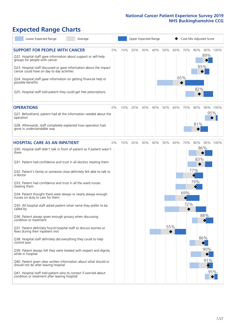# **Expected Range Charts**

| Lower Expected Range<br>Average                                                                                                                                                                                                                                                                                                                         |    |     |     |     | Upper Expected Range |     |     | Case Mix Adjusted Score |     |            |          |
|---------------------------------------------------------------------------------------------------------------------------------------------------------------------------------------------------------------------------------------------------------------------------------------------------------------------------------------------------------|----|-----|-----|-----|----------------------|-----|-----|-------------------------|-----|------------|----------|
| <b>SUPPORT FOR PEOPLE WITH CANCER</b><br>Q22. Hospital staff gave information about support or self-help<br>groups for people with cancer<br>Q23. Hospital staff discussed or gave information about the impact<br>cancer could have on day to day activities<br>Q24. Hospital staff gave information on getting financial help or<br>possible benefits | 0% | 10% | 20% | 30% | 40%                  | 50% | 60% | 70%<br>65%              | 80% | 89%<br>85% | 90% 100% |
| Q25. Hospital staff told patient they could get free prescriptions                                                                                                                                                                                                                                                                                      |    |     |     |     |                      |     |     |                         | 82% |            |          |
| <b>OPERATIONS</b>                                                                                                                                                                                                                                                                                                                                       | 0% | 10% | 20% | 30% | 40%                  | 50% | 60% | 70%                     | 80% |            | 90% 100% |
| Q27. Beforehand, patient had all the information needed about the<br>operation<br>Q28. Afterwards, staff completely explained how operation had<br>gone in understandable way                                                                                                                                                                           |    |     |     |     |                      |     |     |                         | 81% |            | 95%      |
|                                                                                                                                                                                                                                                                                                                                                         |    |     |     |     |                      |     |     |                         |     |            |          |
| <b>HOSPITAL CARE AS AN INPATIENT</b>                                                                                                                                                                                                                                                                                                                    | 0% | 10% | 20% | 30% | 40%                  | 50% | 60% | 70%                     | 80% |            | 90% 100% |
| Q30. Hospital staff didn't talk in front of patient as if patient wasn't<br>there                                                                                                                                                                                                                                                                       |    |     |     |     |                      |     |     |                         | 83% | 86%        |          |
| Q31. Patient had confidence and trust in all doctors treating them                                                                                                                                                                                                                                                                                      |    |     |     |     |                      |     |     |                         |     |            |          |
| Q32. Patient's family or someone close definitely felt able to talk to<br>a doctor                                                                                                                                                                                                                                                                      |    |     |     |     |                      |     |     |                         | 77% |            |          |
| Q33. Patient had confidence and trust in all the ward nurses<br>treating them                                                                                                                                                                                                                                                                           |    |     |     |     |                      |     |     |                         | 79% |            |          |
| Q34. Patient thought there were always or nearly always enough<br>nurses on duty to care for them                                                                                                                                                                                                                                                       |    |     |     |     |                      |     |     | 69%                     |     |            |          |
| Q35. All hospital staff asked patient what name they prefer to be<br>called by                                                                                                                                                                                                                                                                          |    |     |     |     |                      |     |     | 72%                     |     |            |          |
| Q36. Patient always given enough privacy when discussing<br>condition or treatment                                                                                                                                                                                                                                                                      |    |     |     |     |                      |     |     |                         |     | 88%        |          |
| Q37. Patient definitely found hospital staff to discuss worries or<br>fears during their inpatient visit                                                                                                                                                                                                                                                |    |     |     |     |                      | 55% |     |                         |     |            |          |
| Q38. Hospital staff definitely did everything they could to help<br>control pain                                                                                                                                                                                                                                                                        |    |     |     |     |                      |     |     |                         |     | 86%        |          |
| Q39. Patient always felt they were treated with respect and dignity<br>while in hospital                                                                                                                                                                                                                                                                |    |     |     |     |                      |     |     |                         |     | 90%        |          |
| Q40. Patient given clear written information about what should or<br>should not do after leaving hospital                                                                                                                                                                                                                                               |    |     |     |     |                      |     |     |                         |     | 91%        |          |
| Q41. Hospital staff told patient who to contact if worried about<br>condition or treatment after leaving hospital                                                                                                                                                                                                                                       |    |     |     |     |                      |     |     |                         |     |            | 95%      |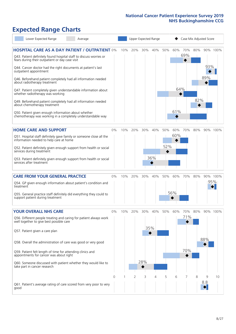# **Expected Range Charts**

| Lower Expected Range<br>Average                                                                                                           |                |     |     | Upper Expected Range |     |     |     | Case Mix Adjusted Score |     |     |          |
|-------------------------------------------------------------------------------------------------------------------------------------------|----------------|-----|-----|----------------------|-----|-----|-----|-------------------------|-----|-----|----------|
| <b>HOSPITAL CARE AS A DAY PATIENT / OUTPATIENT 0%</b><br>Q43. Patient definitely found hospital staff to discuss worries or               |                | 10% | 20% | 30%                  | 40% | 50% | 60% | 70%<br>69%              | 80% |     | 90% 100% |
| fears during their outpatient or day case visit<br>Q44. Cancer doctor had the right documents at patient's last<br>outpatient appointment |                |     |     |                      |     |     |     |                         |     | 93% |          |
| Q46. Beforehand patient completely had all information needed<br>about radiotherapy treatment                                             |                |     |     |                      |     |     |     |                         |     | 89% |          |
| Q47. Patient completely given understandable information about<br>whether radiotherapy was working                                        |                |     |     |                      |     |     | 64% |                         |     |     |          |
| Q49. Beforehand patient completely had all information needed<br>about chemotherapy treatment                                             |                |     |     |                      |     |     |     |                         | 82% |     |          |
| Q50. Patient given enough information about whether<br>chemotherapy was working in a completely understandable way                        |                |     |     |                      |     |     | 61% |                         |     |     |          |
| <b>HOME CARE AND SUPPORT</b>                                                                                                              | 0%             | 10% | 20% | 30%                  | 40% | 50% | 60% | 70%                     | 80% |     | 90% 100% |
| Q51. Hospital staff definitely gave family or someone close all the<br>information needed to help care at home                            |                |     |     |                      |     |     | 60% |                         |     |     |          |
| Q52. Patient definitely given enough support from health or social<br>services during treatment                                           |                |     |     |                      |     | 52% |     |                         |     |     |          |
| Q53. Patient definitely given enough support from health or social<br>services after treatment                                            |                |     |     |                      | 36% |     |     |                         |     |     |          |
| <b>CARE FROM YOUR GENERAL PRACTICE</b>                                                                                                    | $0\%$          | 10% | 20% | 30%                  | 40% | 50% | 60% | 70%                     | 80% |     | 90% 100% |
| Q54. GP given enough information about patient's condition and<br>treatment                                                               |                |     |     |                      |     |     |     |                         |     |     | 95%      |
| Q55. General practice staff definitely did everything they could to<br>support patient during treatment                                   |                |     |     |                      |     |     | 56% |                         |     |     |          |
| <b>YOUR OVERALL NHS CARE</b>                                                                                                              | 0%             | 10% | 20% | 30%                  | 40% | 50% | 60% | 70%                     | 80% |     | 90% 100% |
| Q56. Different people treating and caring for patient always work<br>well together to give best possible care                             |                |     |     |                      |     |     |     | 71%                     |     |     |          |
| Q57. Patient given a care plan                                                                                                            |                |     |     |                      | 35% |     |     |                         |     |     |          |
| Q58. Overall the administration of care was good or very good                                                                             |                |     |     |                      |     |     |     |                         |     | 88% |          |
| Q59. Patient felt length of time for attending clinics and<br>appointments for cancer was about right                                     |                |     |     |                      |     |     |     | 70%                     |     |     |          |
| Q60. Someone discussed with patient whether they would like to<br>take part in cancer research                                            |                |     |     | 28%                  |     |     |     |                         |     |     |          |
|                                                                                                                                           | $\overline{0}$ |     | 2   | 3                    | 4   | 5   | 6   | 7                       | 8   | 9   | 10       |
| Q61. Patient's average rating of care scored from very poor to very<br>good                                                               |                |     |     |                      |     |     |     |                         |     | 8.8 |          |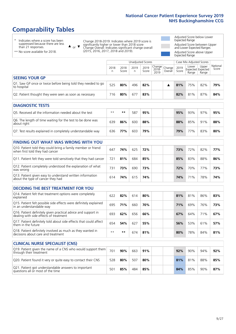# **Comparability Tables**

\* Indicates where a score has been suppressed because there are less than 21 responses.

\*\* No score available for 2018.

 $\triangle$  or  $\nabla$ 

Change 2018-2019: Indicates where 2019 score is significantly higher or lower than 2018 score Change Overall: Indicates significant change overall (2015, 2016, 2017, 2018 and 2019).

Adjusted Score below Lower Expected Range Adjusted Score between Upper and Lower Expected Ranges Adjusted Score above Upper Expected Range

|                                                                             |      |               | Unadjusted Scores |               |                                                  |         |               | Case Mix Adjusted Scores            |                |                   |
|-----------------------------------------------------------------------------|------|---------------|-------------------|---------------|--------------------------------------------------|---------|---------------|-------------------------------------|----------------|-------------------|
|                                                                             | 2018 | 2018<br>Score | 2019<br>n         | 2019<br>Score | $\sqrt{(\text{Change})}$ Change<br>2018-<br>2019 | Overall | 2019<br>Score | Lower<br>Expected Expected<br>Range | Upper<br>Range | National<br>Score |
| <b>SEEING YOUR GP</b>                                                       |      |               |                   |               |                                                  |         |               |                                     |                |                   |
| Q1. Saw GP once or twice before being told they needed to go<br>to hospital | 525  | 80%           | 496               | 82%           |                                                  |         | 81%           | 75%                                 | 82%            | 79%               |
| Q2. Patient thought they were seen as soon as necessary                     | 716  | 80%           | 677               | 83%           |                                                  |         | 82%           | 81%                                 | 87%            | 84%               |
| <b>DIAGNOSTIC TESTS</b>                                                     |      |               |                   |               |                                                  |         |               |                                     |                |                   |

| <b>PIASIVOJIJE I LJIJ</b>                                                 |      |     |     |     |  |     |     |     |     |
|---------------------------------------------------------------------------|------|-----|-----|-----|--|-----|-----|-----|-----|
| Q5. Received all the information needed about the test                    | $**$ | **  | 587 | 95% |  | 95% | 93% | 97% | 95% |
| Q6. The length of time waiting for the test to be done was<br>about right | 639  | 86% | 600 | 88% |  | 88% | 85% | 91% | 88% |
| Q7. Test results explained in completely understandable way               | 636  | 77% | 603 | 79% |  | 79% | 77% | 83% | 80% |

| <b>FINDING OUT WHAT WAS WRONG WITH YOU</b>                                                      |     |     |     |     |     |     |     |     |
|-------------------------------------------------------------------------------------------------|-----|-----|-----|-----|-----|-----|-----|-----|
| Q10. Patient told they could bring a family member or friend<br>when first told they had cancer | 647 | 74% | 625 | 72% | 73% | 72% | 82% | 77% |
| Q11. Patient felt they were told sensitively that they had cancer                               | 721 | 81% | 684 | 85% | 85% | 83% | 88% | 86% |
| Q12. Patient completely understood the explanation of what<br>was wrong                         | 731 | 73% | 690 | 73% | 72% | 70% | 77% | 73% |
| Q13. Patient given easy to understand written information<br>about the type of cancer they had  | 614 | 74% | 615 | 74% | 74% | 71% | 78% | 74% |

| <b>DECIDING THE BEST TREATMENT FOR YOU</b>                                                              |      |     |     |     |  |     |     |     |     |
|---------------------------------------------------------------------------------------------------------|------|-----|-----|-----|--|-----|-----|-----|-----|
| Q14. Patient felt that treatment options were completely<br>explained                                   | 622  | 82% | 614 | 80% |  | 81% | 81% | 86% | 83% |
| Q15. Patient felt possible side effects were definitely explained<br>in an understandable way           | 695  | 71% | 660 | 70% |  | 71% | 69% | 76% | 73% |
| Q16. Patient definitely given practical advice and support in<br>dealing with side effects of treatment | 693  | 62% | 656 | 66% |  | 67% | 64% | 71% | 67% |
| Q17. Patient definitely told about side effects that could affect<br>them in the future                 | 654  | 54% | 627 | 55% |  | 56% | 53% | 61% | 57% |
| Q18. Patient definitely involved as much as they wanted in<br>decisions about care and treatment        | $**$ | **  | 674 | 81% |  | 80% | 78% | 84% | 81% |

| <b>CLINICAL NURSE SPECIALIST (CNS)</b>                                                    |     |     |     |     |     |     |     |     |
|-------------------------------------------------------------------------------------------|-----|-----|-----|-----|-----|-----|-----|-----|
| Q19. Patient given the name of a CNS who would support them<br>through their treatment    | 701 | 90% | 663 | 91% | 92% | 90% | 94% | 92% |
| Q20. Patient found it very or quite easy to contact their CNS                             | 528 | 80% | 507 | 80% | 81% | 81% | 88% | 85% |
| Q21. Patient got understandable answers to important<br>questions all or most of the time | 501 | 85% | 484 | 85% | 84% | 85% | 90% | 87% |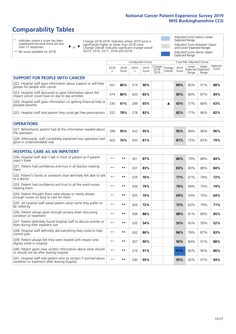# **Comparability Tables**

\* Indicates where a score has been suppressed because there are less than 21 responses.

\*\* No score available for 2018.

 $\triangle$  or  $\nabla$ 

Change 2018-2019: Indicates where 2019 score is significantly higher or lower than 2018 score Change Overall: Indicates significant change overall (2015, 2016, 2017, 2018 and 2019).

Adjusted Score below Lower Expected Range Adjusted Score between Upper and Lower Expected Ranges Adjusted Score above Upper Expected Range

|                                                                                                                   | Unadjusted Scores |               |            |               |                         |                   |               | Case Mix Adjusted Scores |                                     |                   |
|-------------------------------------------------------------------------------------------------------------------|-------------------|---------------|------------|---------------|-------------------------|-------------------|---------------|--------------------------|-------------------------------------|-------------------|
|                                                                                                                   | 2018<br>n         | 2018<br>Score | 2019<br>n. | 2019<br>Score | Change<br>2018-<br>2019 | Change<br>Overall | 2019<br>Score | Lower<br>Range           | Upper<br>Expected Expected<br>Range | National<br>Score |
| <b>SUPPORT FOR PEOPLE WITH CANCER</b>                                                                             |                   |               |            |               |                         |                   |               |                          |                                     |                   |
| Q22. Hospital staff gave information about support or self-help<br>groups for people with cancer                  | 561               | 86%           | 519        | 90%           |                         |                   | 89%           | 85%                      | 91%                                 | 88%               |
| Q23. Hospital staff discussed or gave information about the<br>impact cancer could have on day to day activities  | 474               | 80%           | 420        | 85%           |                         |                   | 85%           | 80%                      | 87%                                 | 84%               |
| Q24. Hospital staff gave information on getting financial help or<br>possible benefits                            | 330               | 61%           | 289        | 65%           |                         | ▲                 | 65%           | 57%                      | 68%                                 | 63%               |
| Q25. Hospital staff told patient they could get free prescriptions                                                | 322               | 78%           | 278        | 82%           |                         |                   | 82%           | 77%                      | 86%                                 | 82%               |
| <b>OPERATIONS</b>                                                                                                 |                   |               |            |               |                         |                   |               |                          |                                     |                   |
| Q27. Beforehand, patient had all the information needed about<br>the operation                                    | 399               | 95%           | 343        | 95%           |                         |                   | 95%           | 94%                      | 98%                                 | 96%               |
| Q28. Afterwards, staff completely explained how operation had<br>gone in understandable way                       | 403               | 76%           | 343        | 81%           |                         |                   | 81%           | 75%                      | 83%                                 | 79%               |
| <b>HOSPITAL CARE AS AN INPATIENT</b>                                                                              |                   |               |            |               |                         |                   |               |                          |                                     |                   |
| Q30. Hospital staff didn't talk in front of patient as if patient<br>wasn't there                                 | $**$              | **            | 301        | 87%           |                         |                   | 86%           | 79%                      | 88%                                 | 84%               |
| Q31. Patient had confidence and trust in all doctors treating<br>them                                             | $**$              | **            | 307        | 83%           |                         |                   | 83%           | 80%                      | 88%                                 | 84%               |
| Q32. Patient's family or someone close definitely felt able to talk<br>to a doctor                                | $* *$             | **            | 259        | 76%           |                         |                   | 77%           | 67%                      | 78%                                 | 72%               |
| O33. Patient had confidence and trust in all the ward nurses<br>treating them                                     | $**$              | **            | 306        | 79%           |                         |                   | 79%           | 69%                      | 79%                                 | 74%               |
| Q34. Patient thought there were always or nearly always<br>enough nurses on duty to care for them                 | $**$              | $***$         | 305        | 70%           |                         |                   | 69%           | 59%                      | 70%                                 | 64%               |
| Q35. All hospital staff asked patient what name they prefer to<br>be called by                                    | $* *$             | **            | 304        | 72%           |                         |                   | 72%           | 63%                      | 79%                                 | 71%               |
| Q36. Patient always given enough privacy when discussing<br>condition or treatment                                | $* *$             | **            | 308        | 88%           |                         |                   | 88%           | 81%                      | 89%                                 | 85%               |
| Q37. Patient definitely found hospital staff to discuss worries or<br>fears during their inpatient visit          | $* *$             | **            | 205        | 54%           |                         |                   | 55%           | 45%                      | 59%                                 | 52%               |
| Q38. Hospital staff definitely did everything they could to help<br>control pain                                  | $* *$             | **            | 262        | 86%           |                         |                   | 86%           | 78%                      | 87%                                 | 83%               |
| Q39. Patient always felt they were treated with respect and<br>dignity while in hospital                          | $\star\star$      | **            | 307        | 90%           |                         |                   | 90%           | 84%                      | 91%                                 | 88%               |
| Q40. Patient given clear written information about what should<br>or should not do after leaving hospital         | $**$              | **            | 276        | 91%           |                         |                   | 91%           | 82%                      | 90%                                 | 86%               |
| Q41. Hospital staff told patient who to contact if worried about<br>condition or treatment after leaving hospital | $* *$             | **            | 290        | 95%           |                         |                   | 95%           | 92%                      | 97%                                 | 94%               |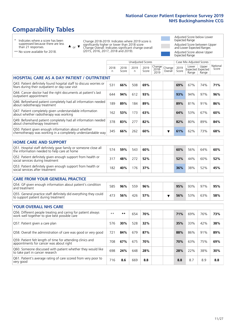# **Comparability Tables**

\* Indicates where a score has been suppressed because there are less than 21 responses.

 $\triangle$  or  $\nabla$ 

Change 2018-2019: Indicates where 2019 score is significantly higher or lower than 2018 score Change Overall: Indicates significant change overall (2015, 2016, 2017, 2018 and 2019).

Adjusted Score below Lower Expected Range Adjusted Score between Upper and Lower Expected Ranges Adjusted Score above Upper Expected Range

| $\frac{1}{2}$                   |  |
|---------------------------------|--|
| ** No score available for 2018. |  |

|                                                                                                                       | <b>Unadjusted Scores</b> |               |           |               |                         |                   |               | Case Mix Adjusted Scores            |                |                   |
|-----------------------------------------------------------------------------------------------------------------------|--------------------------|---------------|-----------|---------------|-------------------------|-------------------|---------------|-------------------------------------|----------------|-------------------|
|                                                                                                                       | 2018<br>n                | 2018<br>Score | 2019<br>n | 2019<br>Score | Change<br>2018-<br>2019 | Change<br>Overall | 2019<br>Score | Lower<br>Expected Expected<br>Range | Upper<br>Range | National<br>Score |
| <b>HOSPITAL CARE AS A DAY PATIENT / OUTPATIENT</b>                                                                    |                          |               |           |               |                         |                   |               |                                     |                |                   |
| Q43. Patient definitely found hospital staff to discuss worries or<br>fears during their outpatient or day case visit | 531                      | 66%           | 508       | 69%           |                         |                   | 69%           | 67%                                 | 74%            | 71%               |
| Q44. Cancer doctor had the right documents at patient's last<br>outpatient appointment                                | 644                      | 94%           | 612       | 93%           |                         |                   | 93%           | 94%                                 | 97%            | 96%               |
| Q46. Beforehand patient completely had all information needed<br>about radiotherapy treatment                         | 189                      | 89%           | 184       | 89%           |                         |                   | 89%           | 81%                                 | 91%            | 86%               |
| Q47. Patient completely given understandable information<br>about whether radiotherapy was working                    | 162                      | 53%           | 173       | 63%           |                         |                   | 64%           | 53%                                 | 67%            | 60%               |
| Q49. Beforehand patient completely had all information needed<br>about chemotherapy treatment                         | 378                      | 83%           | 277       | 82%           |                         |                   | 82%           | 80%                                 | 89%            | 84%               |
| Q50. Patient given enough information about whether<br>chemotherapy was working in a completely understandable way    | 345                      | 66%           | 262       | 60%           |                         | ▼                 | 61%           | 62%                                 | 73%            | 68%               |
| <b>HOME CARE AND SUPPORT</b>                                                                                          |                          |               |           |               |                         |                   |               |                                     |                |                   |
| Q51. Hospital staff definitely gave family or someone close all<br>the information needed to help care at home        | 574                      | 59%           | 543       | 60%           |                         |                   | 60%           | 56%                                 | 64%            | 60%               |
| Q52. Patient definitely given enough support from health or<br>social services during treatment                       | 317                      | 48%           | 272       | 52%           |                         |                   | 52%           | 44%                                 | 60%            | 52%               |
| Q53. Patient definitely given enough support from health or<br>social services after treatment                        | 182                      | 40%           | 176       | 37%           |                         |                   | 36%           | 38%                                 | 52%            | 45%               |
| <b>CARE FROM YOUR GENERAL PRACTICE</b>                                                                                |                          |               |           |               |                         |                   |               |                                     |                |                   |
| Q54. GP given enough information about patient's condition<br>and treatment                                           | 585                      | 96%           | 559       | 96%           |                         |                   | 95%           | 93%                                 | 97%            | 95%               |
| Q55. General practice staff definitely did everything they could<br>to support patient during treatment               | 473                      | 56%           | 426       | 57%           |                         | ▼                 | 56%           | 53%                                 | 63%            | 58%               |
| <b>YOUR OVERALL NHS CARE</b>                                                                                          |                          |               |           |               |                         |                   |               |                                     |                |                   |
| Q56. Different people treating and caring for patient always<br>work well together to give best possible care         | $\star\star$             | $**$          | 654       | 70%           |                         |                   | 71%           | 69%                                 | 76%            | 73%               |
| Q57. Patient given a care plan                                                                                        | 576                      | 30%           | 528       | 32%           |                         |                   | 35%           | 33%                                 | 42%            | 38%               |
| Q58. Overall the administration of care was good or very good                                                         | 721                      | 84%           | 679       | 87%           |                         |                   | 88%           | 86%                                 | 91%            | 89%               |
| Q59. Patient felt length of time for attending clinics and<br>appointments for cancer was about right                 | 708                      | 67%           | 675       | 70%           |                         |                   | 70%           | 63%                                 | 75%            | 69%               |
| Q60. Someone discussed with patient whether they would like<br>to take part in cancer research                        | 698                      | 24%           | 648       | 28%           |                         |                   | 28%           | 22%                                 | 38%            | 30%               |
| Q61. Patient's average rating of care scored from very poor to<br>very good                                           | 716                      | 8.6           | 669       | 8.8           |                         |                   | 8.8           | 8.7                                 | 8.9            | 8.8               |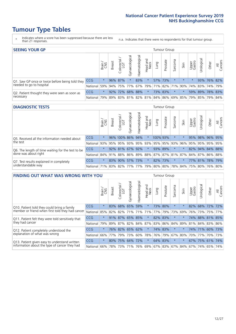- \* Indicates where a score has been suppressed because there are less than 21 responses.
- n.a. Indicates that there were no respondents for that tumour group.

| <b>SEEING YOUR GP</b>                                      |            |         |               |                 |                   |                |                  |      | Tumour Group |         |         |                 |                                                 |             |                |
|------------------------------------------------------------|------------|---------|---------------|-----------------|-------------------|----------------|------------------|------|--------------|---------|---------|-----------------|-------------------------------------------------|-------------|----------------|
|                                                            |            | Brain   | <b>Breast</b> | Colorectal      | ত<br>Gynaecologic | Haematological | Head and<br>Neck | Lung | Prostate     | Sarcoma | Skin    | Upper<br>Gastro | $\sigma$<br>Jrologica                           | Other       | All<br>Cancers |
| Q1. Saw GP once or twice before being told they            | <b>CCG</b> | $\star$ |               | 96% 87%         |                   | 83%            | $\star$          |      | 57% 73%      |         | $\star$ |                 |                                                 | 93% 76% 82% |                |
| needed to go to hospital                                   | National   | 59%     |               | 94% 75% 77%     |                   |                |                  |      |              |         |         |                 | 67% 79% 71% 82% 71% 90% 74% 83% 74% 79%         |             |                |
| Q2. Patient thought they were seen as soon as<br>necessary | <b>CCG</b> | $\star$ |               | 92% 72% 68% 88% |                   |                | $\star$          |      | 73% 83%      | $\star$ |         |                 | 59% 89% 78% 83%                                 |             |                |
|                                                            | National   | 79%     |               |                 |                   |                |                  |      |              |         |         |                 | 89% 83% 81% 82% 81% 84% 86% 69% 85% 79% 85% 79% |             | 84%            |

#### **DIAGNOSTIC TESTS** Tumour Group

|                                                                |                                                                  | Brain   | <b>Breast</b> | olorectal.<br>LGT | $\overline{\sigma}$<br>Gynaecologic | Haematological | Head and<br>Neck | Lung     | Prostate | Sarcoma                     | Skin | Upper<br>Gastro | rological                                               | Other       | All<br>Cancers |
|----------------------------------------------------------------|------------------------------------------------------------------|---------|---------------|-------------------|-------------------------------------|----------------|------------------|----------|----------|-----------------------------|------|-----------------|---------------------------------------------------------|-------------|----------------|
| Q5. Received all the information needed about                  | CCG                                                              | $\star$ |               | 96% 100% 86%      |                                     | 94%            | $\star$          | 100% 93% |          | $\star$                     |      | 95%             |                                                         | 98% 96% 95% |                |
| the test                                                       | National                                                         | 93%     |               | 95% 95%           |                                     |                |                  |          |          | 93% 95% 93% 95% 95% 93% 96% |      | 95%             |                                                         | 95% 95% 95% |                |
| Q6. The length of time waiting for the test to be              | <b>CCG</b>                                                       | $\star$ |               | $92\%$ 81%        |                                     | 67% 92%        | $\star$          |          | 93% 89%  | $\star$                     |      |                 | 82% 94% 84% 88%                                         |             |                |
| done was about right                                           | National                                                         |         |               |                   |                                     |                |                  |          |          |                             |      |                 | 84% 91% 88% 86% 89% 88% 87% 87% 81% 87% 84% 87% 86% 88% |             |                |
| Q7. Test results explained in completely<br>understandable way | <b>CCG</b>                                                       | $\star$ |               | 83% 90%           |                                     | 57% 73%        | $\star$          |          | 82% 73%  | $\star$                     |      |                 | 77% 81% 78% 79%                                         |             |                |
|                                                                | National 71% 83% 82% 77% 77% 79% 80% 80% 78% 84% 75% 80% 76% 80% |         |               |                   |                                     |                |                  |          |          |                             |      |                 |                                                         |             |                |

| <b>FINDING OUT WHAT WAS WRONG WITH YOU</b>        |            |         |               |                             |                     |                   |                  |             | <b>Tumour Group</b> |         |         |                 |            |             |                |
|---------------------------------------------------|------------|---------|---------------|-----------------------------|---------------------|-------------------|------------------|-------------|---------------------|---------|---------|-----------------|------------|-------------|----------------|
|                                                   |            | Brain   | <b>Breast</b> | olorectal.<br>LGT<br>$\cup$ | Gynaecological      | aematologica<br>Ĩ | Head and<br>Neck | Lung        | Prostate            | Sarcoma | Skin    | Upper<br>Gastro | Urological | Other       | All<br>Cancers |
| Q10. Patient told they could bring a family       | CCG        | $\star$ | 83%           | 68%                         | 65%                 | 59%               | $\star$          |             | 73% 80%             | $\ast$  | $\ast$  | 82%             | 68%        | 72%         | 72%            |
| member or friend when first told they had cancer  | National   | 85%     | 82%           | 82%                         | 71%                 | 71%               | 71%              | 77%         | 79%                 | 73%     | 69%     | 76%             | 73%        | 75%         | 77%            |
| Q11. Patient felt they were told sensitively that | <b>CCG</b> | $\star$ |               |                             | 91% 87% 65%         | 85%               | $\star$          | 82% 83%     |                     | $\ast$  | $\star$ | 74%             |            | 88% 81% 85% |                |
| they had cancer                                   | National   | 79%     |               |                             | 89% 87% 82% 84% 87% |                   |                  | 83% 86% 84% |                     |         | 89%     |                 |            | 81% 84% 83% | 86%            |
| Q12. Patient completely understood the            | <b>CCG</b> | $\star$ |               | 76% 82%                     | 65%                 | 62%               | $\star$          |             | 74% 83%             | $\ast$  | $\star$ | 74%             | 71%        | 60%         | 173%           |
| explanation of what was wrong                     | National   | 66%     | 77%           | 79%                         | 73%                 | 60%               |                  | 78% 76% 79% |                     | 67%     | 80%     | 70%             | 77%        |             | 70% 73%        |
| Q13. Patient given easy to understand written     | CCG        | $\star$ | 80%           | 75%                         | 64%                 | 72%               | $\star$          | 64% 83%     |                     | $\star$ | $\star$ | 67%             | 75%        | 61%         | 74%            |
| information about the type of cancer they had     | National   | 66%     | 78%           | 73%                         | 71%                 | 76%               |                  | 69% 67% 83% |                     |         | 67% 84% | 67%             | 74%        | 65%         | 74%            |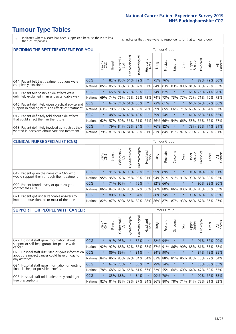\* Indicates where a score has been suppressed because there are less than 21 responses.

n.a. Indicates that there were no respondents for that tumour group.

| <b>DECIDING THE BEST TREATMENT FOR YOU</b>         |            |         |               |                            |                 |                |                        |      | <b>Tumour Group</b> |                                     |         |                 |                 |             |                |
|----------------------------------------------------|------------|---------|---------------|----------------------------|-----------------|----------------|------------------------|------|---------------------|-------------------------------------|---------|-----------------|-----------------|-------------|----------------|
|                                                    |            | Brain   | <b>Breast</b> | olorectal<br>LGT<br>$\cup$ | Gynaecological  | Haematological | ad and<br>Neck<br>Head | Lung | Prostate            | Sarcoma                             | Skin    | Upper<br>Gastro | Jrological      | Other       | All<br>Cancers |
| Q14. Patient felt that treatment options were      | <b>CCG</b> | $\star$ |               | 82% 85%                    | 64%             | 79%            | $\star$                |      | 75% 76%             | $\star$                             |         | $\star$         | 82%             | $ 79\% $    | 80%            |
| completely explained                               | National   | 85%     | 85%           | 85%                        |                 | 85% 82%        | 87%                    |      | 84% 83% 83%         |                                     | 89%     | 81%             | 83%             | 79% 83%     |                |
| Q15. Patient felt possible side effects were       | <b>CCG</b> | $\star$ |               | 65% 81%                    | 70%             | 60%            | $\star$                |      | 74% 67%             | $^\star$                            |         |                 | 65% 76% 71% 70% |             |                |
| definitely explained in an understandable way      | National   | 69%     | 74%           | 76%                        |                 | 75% 69%        | 73%                    |      | 74% 73%             | 73%                                 | 77%     | 72%             | 71%             | 70% 73%     |                |
| Q16. Patient definitely given practical advice and | CCG        | $\star$ | 64%           |                            | 74% 61% 55%     |                | $\ast$                 |      | 73% 61%             | $\ast$                              | $\star$ |                 | 64% 67% 67% 66% |             |                |
| support in dealing with side effects of treatment  | National   | 63%     | 70%           | 70%                        |                 | 69% 65%        | 70%                    |      | 69% 65%             | 66%                                 | 71%     |                 | 66% 63% 64% 67% |             |                |
| Q17. Patient definitely told about side effects    | CCG        | $\star$ |               |                            | 48% 67% 48% 48% |                | $\ast$                 |      | 59% 54%             | $\star$                             | $\star$ |                 | 41% 65% 51% 55% |             |                |
| that could affect them in the future               | National   | 62%     | 57%           | 59%                        |                 | 56% 51%        | 64%                    |      | 56% 66%             | 54%                                 | 66%     | 53%             |                 | 56% 52%     | 57%            |
| Q18. Patient definitely involved as much as they   | <b>CCG</b> | $\star$ |               | 79% 84%                    | 72% 84%         |                | $\star$                |      | 76% 82%             | $\star$                             | $\star$ |                 | 78% 85% 74% 81% |             |                |
| wanted in decisions about care and treatment       | National   | 79%     |               |                            |                 |                |                        |      |                     | 81% 83% 81% 80% 81% 81% 84% 81% 87% |         | 79%             |                 | 79% 78% 81% |                |

### **CLINICAL NURSE SPECIALIST (CNS)** Tumour Group

|                                             |          | Brain           | <b>Breast</b>   | Colorectal<br>LGT | Gynaecologica | శా<br>aematologi | Head and<br>Neck | Lung        | Prostate | Sarcoma | Skin            | Upper<br>Gastro                 | rological | Other       | All<br>Cancers |
|---------------------------------------------|----------|-----------------|-----------------|-------------------|---------------|------------------|------------------|-------------|----------|---------|-----------------|---------------------------------|-----------|-------------|----------------|
| Q19. Patient given the name of a CNS who    | CCG      | $\star$         |                 |                   | 91% 87% 96%   | 89%              | $\star$          |             | 95% 89%  | $\star$ |                 | 91%                             |           | 94% 86% 91% |                |
| would support them through their treatment  | National | 95%             | 95%             | 92%               | 95%           | 92%              | 91%              |             |          |         | 94% 91% 91% 91% | 93%                             | 85%       | 89%         | 92%            |
| Q20. Patient found it very or quite easy to | CCG      | $\star$         |                 | 71% 92%           |               | 75%              | $\star$          |             | 92% 66%  |         | $\star$         | $\star$                         |           | 90% 83% 80% |                |
| contact their CNS                           | National |                 | 86% 84% 88% 85% |                   |               | 87%              |                  | 86% 86% 80% |          |         |                 | 86% 90% 85%                     |           | 83% 83%     | 85%            |
| Q21. Patient got understandable answers to  | CCG      | $\star$         |                 | 80% 93%           |               | 84%              | $\star$          |             | 88% 74%  | $\star$ | $\star$         | 90%                             | 92%       | 90% 85%     |                |
| important questions all or most of the time | National | 82% 87% 89% 86% |                 |                   |               |                  |                  |             |          |         |                 | 89% 88% 86% 87% 87% 93% 86% 87% |           | 86% 87%     |                |

| <b>SUPPORT FOR PEOPLE WITH CANCER</b>                                                             |            |         |               |            |                |                |                         |      | <b>Tumour Group</b> |                          |         |                 |            |         |                |
|---------------------------------------------------------------------------------------------------|------------|---------|---------------|------------|----------------|----------------|-------------------------|------|---------------------|--------------------------|---------|-----------------|------------|---------|----------------|
|                                                                                                   |            | Brain   | <b>Breast</b> | Colorectal | Gynaecological | Haematological | ead and<br>Neck<br>Head | Lung | Prostate            | arcoma<br>$\overline{2}$ | Skin    | Upper<br>Gastro | Jrological | Other   | All<br>Cancers |
| Q22. Hospital staff gave information about<br>support or self-help groups for people with         | <b>CCG</b> | $\star$ | 91%           | 93%        | $\star$        | 86%            | $\ast$                  | 82%  | 94%                 | $\star$                  | $\star$ | $\star$         | 91%        | 82%     | 90%            |
| cancer                                                                                            | National   | 92%     | 92%           | 88%        | 87%            | 86%            | 88%                     |      | 87% 91%             | 86%                      | 90%     | 88%             | 81%        | 83%     | 88%            |
| Q23. Hospital staff discussed or gave information<br>about the impact cancer could have on day to | CCG.       | $\star$ | 86%           | 89%        | $\star$        | 81%            | $\star$                 | 84%  | 90%                 | $\star$                  | $\star$ | $\star$         | 87%        |         | 78% 85%        |
| day activities                                                                                    | National   | 84%     | 86%           | 85%        | 82%            | 84%            | 84%                     | 83%  | 88%                 | 81%                      | 86%     | 83%             | 78%        | 79%     | 84%            |
| Q24. Hospital staff gave information on getting                                                   | CCG        | $\star$ | 64%           | 173%       |                | 55%            | $\ast$                  |      | 79% 54%             | $\star$                  | $\star$ | $^\star$        |            | 70% 63% | 65%            |
| financial help or possible benefits                                                               | National   | 78%     | 68%           | 61%        | 66%            | 61%            | 67%                     |      | 72% 55%             | 64%                      | 60%     | 64%             | 47%        | 59%     | 63%            |
| Q25. Hospital staff told patient they could get                                                   | CCG        | $\star$ | 83%           | 88%        | $\star$        | 84%            | $\star$                 |      | 90% 70%             | $\star$                  | $\star$ | $\star$         |            | 92% 67% | 82%            |
| free prescriptions                                                                                | National   | 82%     |               | 81% 83%    | 79%            |                | 87% 84% 86% 80%         |      |                     | 78%                      | 71%     | 84%             |            |         | 73% 81% 82%    |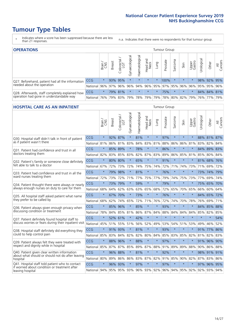- \* Indicates where a score has been suppressed because there are less than 21 responses.
- n.a. Indicates that there were no respondents for that tumour group.

| <b>OPERATIONS</b>                                                                           |              |              |               |                   |                   |                | Tumour Group     |         |                             |         |         |                 |           |                                                       |                |  |  |
|---------------------------------------------------------------------------------------------|--------------|--------------|---------------|-------------------|-------------------|----------------|------------------|---------|-----------------------------|---------|---------|-----------------|-----------|-------------------------------------------------------|----------------|--|--|
|                                                                                             |              | Brain<br>CNS | <b>Breast</b> | Colorectal<br>LGT | ক<br>Gynaecologic | Haematological | Head and<br>Neck | Lung    | Prostate                    | Sarcoma | Skin    | Upper<br>Gastro | rological | Other                                                 | All<br>Cancers |  |  |
| Q27. Beforehand, patient had all the information<br>needed about the operation              | CCG          | $\star$      |               | 93% 95%           | $\star$           | $\star$        | $\star$          | $\star$ | 100%                        |         | $\star$ | $\star$         |           | 98% 92% 95%                                           |                |  |  |
|                                                                                             | National     | 96%          | 97%           | 96%               |                   |                |                  |         |                             |         |         |                 |           | 96%  94%  96%  95%  97%  95%  96%  96%  95%  95%  96% |                |  |  |
| Q28. Afterwards, staff completely explained how<br>operation had gone in understandable way | <b>CCG</b>   | $\star$      |               | 79% 81%           | $\star$           | $\star$        | $\star$          | $\star$ | 75%                         |         | $\star$ | $\star$         |           | 84% 84% 81%                                           |                |  |  |
|                                                                                             | National 76% |              |               | 79% 83%           |                   |                | 79%   78%   79%  |         | 79%   78%   80%   82%   79% |         |         |                 |           | 76%   77%   79%                                       |                |  |  |

#### **HOSPITAL CARE AS AN INPATIENT** Tumour Group

|                                                                                                                      |          | Brain   | Breast  | $\overline{\phantom{0}}$<br>Colorectal /<br>LGT | Gynaecological | Haematological | Head and<br><b>Neck</b> | Lung        | Prostate | Sarcoma | Skin    | Upper<br>Gastro | Urological | Other       | All<br>Cancers |
|----------------------------------------------------------------------------------------------------------------------|----------|---------|---------|-------------------------------------------------|----------------|----------------|-------------------------|-------------|----------|---------|---------|-----------------|------------|-------------|----------------|
| Q30. Hospital staff didn't talk in front of patient                                                                  | CCG      | $\star$ | 92%     | 87%                                             | $\star$        | 81%            | $\star$                 | $\star$     | 97%      | $\star$ | $\star$ | $\star$         |            | 88% 81% 87% |                |
| as if patient wasn't there                                                                                           | National | 81%     | 86%     | 81%                                             | 83%            | 84%            | 83%                     | 81%         | 88%      | 86%     | 86%     | 81%             | 83%        | 82%         | 84%            |
| Q31. Patient had confidence and trust in all                                                                         | CCG      | $\star$ | 85% 89% |                                                 |                | 78%            | $\star$                 | $\star$     | 86%      | $\star$ | $\star$ |                 |            | 84% 89% 83% |                |
| doctors treating them                                                                                                | National | 82%     |         | 83% 85%                                         | 83%            | 82%            |                         | 87% 83%     | 89%      | 86%     | 85%     | 81%             | 85%        | 80% 84%     |                |
| Q32. Patient's family or someone close definitely<br>felt able to talk to a doctor                                   | CCG      | $\star$ | 80%     | 80%                                             | $\star$        | 65%            | $\star$                 | $\star$     | 91%      | $\star$ | $\star$ | $\star$         |            | 81% 68% 76% |                |
|                                                                                                                      | National | 67%     | 72%     | 73%                                             | 72%            | 74%            |                         | 75% 74%     | 72%      | 71%     | 74%     | 73%             | 71%        | 69%         | 72%            |
| Q33. Patient had confidence and trust in all the<br>ward nurses treating them                                        | CCG      | $\star$ | 79%     | 98%                                             | $\star$        | 81%            | $\star$                 | $\star$     | 76%      | $\star$ | $\star$ | $\star$         |            | 73% 74% 79% |                |
|                                                                                                                      | National | 72%     | 73%     | 72%                                             | 71%            |                | 77% 75% 77%             |             | 79%      | 74%     | 75%     | 73%             | 77%        | 69%         | 74%            |
| Q34. Patient thought there were always or nearly<br>always enough nurses on duty to care for them                    | CCG      | $\star$ | 73%     | 79%                                             | $\star$        | 59%            | $\star$                 | $\star$     | 79%      | $\star$ | $\star$ | $\star$         | 75%        | 65%         | 70%            |
|                                                                                                                      | National | 68%     | 64%     | 62%                                             | 63%            | 63%            | 65%                     | 68%         | 72%      | 65%     | 70%     | 65%             | 66%        | 60%         | 64%            |
| Q35. All hospital staff asked patient what name                                                                      | CCG      | $\star$ | 67%     | 70%                                             | $\star$        | 73%            | $\star$                 | $\star$     | 76%      | $\star$ | $\star$ | $\star$         |            | 84% 65% 72% |                |
| they prefer to be called by                                                                                          | National | 68%     | 62%     | 74%                                             | 65%            | 72%            | 71% 76%                 |             | 72%      | 74%     | 70%     | 78%             | 76%        | 69%         | 71%            |
| Q36. Patient always given enough privacy when                                                                        | CCG      | $\star$ | 85%     | 96%                                             | $\star$        | 85%            | $\star$                 | $\star$     | 93%      | $\star$ | $\star$ | $\star$         |            | 84% 85%     | 88%            |
| discussing condition or treatment                                                                                    | National | 78%     | 84%     | 85%                                             | 81%            |                |                         | 86% 87% 84% | 88%      | 84%     | 84%     | 84%             | 85%        | 82%         | 85%            |
| Q37. Patient definitely found hospital staff to                                                                      | CCG      | $\star$ | 52%     | 61%                                             | $\star$        | 42%            | $\star$                 | $\star$     | $\star$  | $\star$ | $\star$ | $\star$         | $\star$    | $\star$     | 54%            |
| discuss worries or fears during their inpatient visit                                                                | National | 45%     | 51%     | 55%                                             | 51%            | 56%            | 52%                     | 49%         | 53%      | 54%     | 51% 53% |                 | 49%        | 46%         | 52%            |
| Q38. Hospital staff definitely did everything they                                                                   | CCG      | $\star$ | 91% 93% |                                                 | $\star$        | 81%            | $\star$                 | $\star$     | 93%      | $\star$ | $\star$ | $\star$         |            | 91% 77%     | 86%            |
| could to help control pain                                                                                           | National | 85%     | 83%     | 84%                                             | 82%            | 82%            | 80%                     | 84%         | 85%      | 83%     | 85%     | 82%             | 81%        | 82%         | 83%            |
| Q39. Patient always felt they were treated with                                                                      | CCG      | $\star$ | 88%     | 96%                                             | $\star$        | 88%            | $\star$                 | $\star$     | 97%      | $\star$ | $\star$ |                 |            | 91% 96%     | 90%            |
| respect and dignity while in hospital                                                                                | National | 85%     | 87%     | 87%                                             | 85%            | 89%            | 87%                     | 88%         | 91%      | 89%     | 89%     | 88%             |            | 90% 86%     | 88%            |
| Q40. Patient given clear written information<br>about what should or should not do after leaving                     | CCG      | $\star$ | 96%     | 88%                                             | $\star$        | 81%            | $\star$                 | $\star$     | 92%      | $\star$ | $\star$ | $\star$         |            | 98% 91% 91% |                |
| hospital                                                                                                             | National | 80%     | 89%     | 86%                                             | 86%            | 83%            |                         | 87% 82%     | 91%      | 85%     | 90% 82% |                 |            | 87% 83%     | 86%            |
| Q41. Hospital staff told patient who to contact<br>if worried about condition or treatment after<br>leaving hospital | CCG      | $\star$ | 96%     | 93%                                             | $\star$        | 97%            | $\star$                 | $\star$     | 97%      | $\star$ | $\star$ | $\star$         |            | 97% 96%     | 95%            |
|                                                                                                                      | National | 94%     |         | 95% 95% 93%                                     |                |                |                         | 96% 93% 92% | 96%      | 94%     |         | 95% 92%         |            | 92% 93% 94% |                |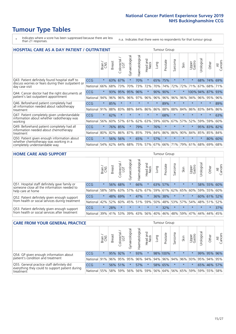# **Tumour Type Tables**

- \* Indicates where a score has been suppressed because there are less than 21 responses.
- n.a. Indicates that there were no respondents for that tumour group.

| <b>HOSPITAL CARE AS A DAY PATIENT / OUTPATIENT</b>                                                                       |            |         |               |                 |                |                |                         |         |          | <b>Tumour Group</b>      |         |                 |            |         |                |  |  |  |
|--------------------------------------------------------------------------------------------------------------------------|------------|---------|---------------|-----------------|----------------|----------------|-------------------------|---------|----------|--------------------------|---------|-----------------|------------|---------|----------------|--|--|--|
|                                                                                                                          |            | Brain   | <b>Breast</b> | ╮<br>Colorectal | Gynaecological | Haematological | aad and<br>Neck<br>Head | Lung    | Prostate | arcoma<br>$\overline{2}$ | Skin    | Upper<br>Gastro | Urological | Other   | All<br>Cancers |  |  |  |
| Q43. Patient definitely found hospital staff to<br>discuss worries or fears during their outpatient or<br>day case visit | CCG        | $\star$ | 63%           | 67%             | $\star$        | 70%            | $\star$                 | 65%     | 75%      | $\star$                  |         | $\star$         | 68%        | 74%     | 69%            |  |  |  |
|                                                                                                                          | National   | 66%     | 68%           | 73%             | 70%            | 73%            | 72%                     | 70%     | 74%      | 72%                      | 72%     | 71%             | 67%        | 68%     | 71%            |  |  |  |
| Q44. Cancer doctor had the right documents at<br>patient's last outpatient appointment                                   | CCG        | $\star$ | 93%           | 95%             | 95%            | 96%            | $\star$                 | 90%     | 90%      | $\star$                  |         |                 | 100% 94%   | 87%     | 93%            |  |  |  |
|                                                                                                                          | National   | 94%     | 96%           | 96%             | 96%            | 97%            | 96%                     | 96%     | 96%      | 96%                      | 96%     | 94%             | 96%        | 95%     | 96%            |  |  |  |
| Q46. Beforehand patient completely had                                                                                   | <b>CCG</b> | $\star$ | 85%           | $\star$         | $\star$        | $\star$        | $\star$                 | $\star$ | 89%      | $\star$                  | $\star$ | $\star$         | $\star$    | $\star$ | 89%            |  |  |  |
| all information needed about radiotherapy<br>treatment                                                                   | National   | 91%     | 88%           | 83%             | 88%            | 84%            | 86%                     | 86%     | 88%      | 88%                      | 84%     | 86%             | 83%        | 84%     | 86%            |  |  |  |
| Q47. Patient completely given understandable                                                                             | CCG        | $\star$ | 62%           | $\star$         |                |                |                         | $\star$ | 68%      | $\star$                  |         |                 |            | $\star$ | 63%            |  |  |  |
| information about whether radiotherapy was<br>working                                                                    | National   | 56%     | 60%           | 57%             | 61%            | 62%            | 63%                     | 59%     | 60%      | 67%                      | 57%     | 52%             | 59%        | 59%     | 60%            |  |  |  |
| Q49. Beforehand patient completely had all                                                                               | CCG        | $\star$ | 76%           | 85%             |                | 79%            | $\star$                 | 76%     | $\star$  | $\star$                  |         | $\star$         | 95%        | 83%     | 82%            |  |  |  |
| information needed about chemotherapy<br>treatment                                                                       | National   | 80%     | 82%           | 86%             | 87%            | 85%            | 79%                     | 84%     | 86%      | 86%                      | 90%     | 84%             | 85%        | 85%     | 84%            |  |  |  |
| Q50. Patient given enough information about<br>whether chemotherapy was working in a<br>completely understandable way    | <b>CCG</b> | $\star$ | 56%           | 56%             | $\star$        | 65%            | $\star$                 | 57%     | $\star$  | $\star$                  | $\star$ | $\star$         | ¥          | 80%     | 60%            |  |  |  |
|                                                                                                                          | National   | 54%     | 62%           | 64%             | 68%            | 75%            |                         | 57% 67% | 66%      | 71%                      | 79%     | 61%             | 68%        | 69%     | 68%            |  |  |  |

#### **HOME CARE AND SUPPORT** Tumour Group

|                                                                                                 |            | Brain   | <b>Breast</b> | Colorectal<br>LGT | ᢛ<br>Gynaecologic | Haematological | Head and<br>Neck | Lung        | Prostate | Sarcoma | Skin    | Upper<br>Gastro | rological | Other       | All<br>Cancers |
|-------------------------------------------------------------------------------------------------|------------|---------|---------------|-------------------|-------------------|----------------|------------------|-------------|----------|---------|---------|-----------------|-----------|-------------|----------------|
| Q51. Hospital staff definitely gave family or<br>someone close all the information needed to    | <b>CCG</b> | $\star$ |               | 56% 68%           |                   | 66%            | $\ast$           | 63%         | 57%      |         | $\star$ |                 |           | 58% 55% 60% |                |
| help care at home                                                                               | National   | 58%     |               | 58% 63%           | 57%               | 62%            |                  | 67% 59% 61% |          |         | 62% 65% | 60%             |           | 59% 55%     | 60%            |
| Q52. Patient definitely given enough support<br>from health or social services during treatment | <b>CCG</b> | $\star$ | 48% 69%       |                   | $\star$           | 47%            | $\star$          |             | 36% 38%  |         | $\star$ | $\star$         |           | 60% 61%     | 52%            |
|                                                                                                 | National   | 42%     | 52%           | 60%               |                   | 45% 51%        | 59%              | 50%         | 48%      |         | 53% 57% | 54%             | 48% 51%   |             | 52%            |
| Q53. Patient definitely given enough support<br>from health or social services after treatment  | <b>CCG</b> | $\star$ | 28%           |                   | $\star$           | $\star$        | $\star$          | $\star$     | 32%      |         | $\star$ | $\star$         | $\star$   | $\star$     | 37%            |
|                                                                                                 | National   | 39%     | 41% 53%       |                   | 39%               | $ 43\% $       | 56%              | 40%         | 46%      | 48%     | 59%     | 47%             | 44%       | 44%         | 45%            |

| <b>CARE FROM YOUR GENERAL PRACTICE</b>                                                                     |              |         |               |                   |                |                | Tumour Group     |      |                     |         |         |                 |                 |             |                |
|------------------------------------------------------------------------------------------------------------|--------------|---------|---------------|-------------------|----------------|----------------|------------------|------|---------------------|---------|---------|-----------------|-----------------|-------------|----------------|
|                                                                                                            |              | Brain   | <b>Breast</b> | Colorectal<br>LGT | Gynaecological | Haematological | Head and<br>Neck | Lung | Prostate            | Sarcoma | Skin    | Upper<br>Gastro | Urologica       | Other       | All<br>Cancers |
| Q54. GP given enough information about                                                                     | <b>CCG</b>   | $\star$ |               | 95% 92%           |                | 93%            | $\star$          |      | 98% 100%            |         | $\star$ | $\star$         |                 | 99% 95% 96% |                |
| patient's condition and treatment                                                                          | National 91% |         |               | 96% 95%           | 95%            |                |                  |      | 96% 94% 94% 96%     |         | 94% 96% |                 | 93% 95% 94% 95% |             |                |
| Q55. General practice staff definitely did<br>everything they could to support patient during<br>treatment | <b>CCG</b>   | $\star$ |               | 56% 51%           | $\star$        | 57%            | $\star$          |      | 58% 65%             | $\star$ | $\star$ | $\star$         |                 | 65% 46% 57% |                |
|                                                                                                            | National 55% |         |               | 58% 59%           | 56%            |                | 56% 59%          |      | 56% 64% 56% 65% 59% |         |         |                 |                 | 59% 55%     | 58%            |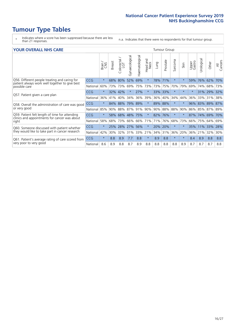- \* Indicates where a score has been suppressed because there are less than 21 responses.
- n.a. Indicates that there were no respondents for that tumour group.

#### **YOUR OVERALL NHS CARE** THE CONSTRUCTION OF THE THROUP GROUP TUMOUR GROUP

| UN V V LIVALL IVI 19 GAINL                                                                                       |            |              |               |                            |                |                |                         |         |          |                      |          |                 |               |         |                |
|------------------------------------------------------------------------------------------------------------------|------------|--------------|---------------|----------------------------|----------------|----------------|-------------------------|---------|----------|----------------------|----------|-----------------|---------------|---------|----------------|
|                                                                                                                  |            | Brain<br>CNS | <b>Breast</b> | olorectal<br>LGT<br>$\cup$ | Gynaecological | Haematological | aad and<br>Neck<br>Head | Lung    | Prostate | arcoma<br>$\sqrt{ }$ | Skin     | Upper<br>Gastro | ී<br>Urologia | Other   | All<br>Cancers |
| Q56. Different people treating and caring for<br>patient always work well together to give best<br>possible care | <b>CCG</b> | $\star$      | 68%           | 80%                        | 52%            | 69%            | $\star$                 | 78%     | 71%      | $\star$              | $\star$  | 59%             | 76%           | 62%     | 70%            |
|                                                                                                                  | National   | 60%          | 73%           | 73%                        | 69%            |                | 75% 73%                 | 73%     | 75%      | 70%                  | 79%      | 69%             | 74%           | 68%     | 73%            |
| Q57. Patient given a care plan                                                                                   | <b>CCG</b> | $\star$      | 32%           | 42%                        |                | 27%            | $\star$                 | 33% 33% |          | $\star$              | $\ast$   | $\star$         |               | 31% 29% | 32%            |
|                                                                                                                  | National   | 36%          | 41%           | 40%                        | 34%            | 36%            | 39%                     | 36%     | 40%      | 34%                  | 44%      | 36%             | 33%           | 31%     | 38%            |
| Q58. Overall the administration of care was good                                                                 | <b>CCG</b> | $\star$      | 84%           | 88%                        | 79%            | 89%            | $\ast$                  | 89% 88% |          | $\star$              | $\star$  | 96%             | 83%           | 89%     | 87%            |
| or very good                                                                                                     | National   | 85%          | 90%           | 88%                        | 87%            | 91%            | 90%                     |         | 90% 88%  | 88%                  | 90%      |                 | 86% 85%       | 87%     | 89%            |
| Q59. Patient felt length of time for attending                                                                   | <b>CCG</b> | $\star$      | 58%           | 68%                        | 48%            | 75%            | $\star$                 | 82% 76% |          | $\star$              | $^\star$ | 87%             | 74%           | 69%     | 70%            |
| clinics and appointments for cancer was about<br>right                                                           | National   | 58%          | 68%           | 73%                        | 66%            | 66%            | 71%                     | 71%     | 76%      | 68%                  | 73%      | 66%             | 75%           | 64%     | 69%            |
| Q60. Someone discussed with patient whether                                                                      | <b>CCG</b> | $\star$      | 25%           | 28%                        | 27%            | 56%            | $\ast$                  | 20% 20% |          | $\star$              | $\ast$   | 35%             | 11%           | 33%     | 28%            |
| they would like to take part in cancer research                                                                  | National   | 42%          | 30%           | 32%                        | 31%            | 33%            | 21%                     |         | 34% 31%  | 36%                  | 20%      | 36%             | 21%           | 32%     | 30%            |
| Q61. Patient's average rating of care scored from<br>very poor to very good                                      | CCG        | $\star$      | 8.8           | 8.9                        | 7.7            | 8.8            | $\ast$                  | 8.9     | 8.8      | $\star$              | $\ast$   | 8.4             | 8.9           | 8.8     | 8.8            |
|                                                                                                                  | National   | 8.6          | 8.9           | 8.8                        | 8.7            | 8.9            | 8.8                     | 8.8     | 8.8      | 8.8                  | 8.9      | 8.7             | 8.7           | 8.7     | 8.8            |
|                                                                                                                  |            |              |               |                            |                |                |                         |         |          |                      |          |                 |               |         |                |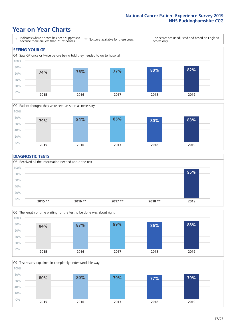# **Year on Year Charts**





#### **DIAGNOSTIC TESTS**





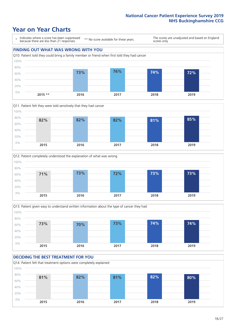# **Year on Year Charts**

\* Indicates where a score has been suppressed because there are less than 21 responses. \*\* No score available for these years. The scores are unadjusted and based on England scores only. **FINDING OUT WHAT WAS WRONG WITH YOU** Q10. Patient told they could bring a family member or friend when first told they had cancer 0% 20% 40% 60% 80% 100% **2015 \*\* 2016 2017 2018 2019 73% 76% 74% 72%**







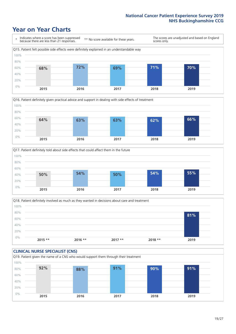# **Year on Year Charts**







Q18. Patient definitely involved as much as they wanted in decisions about care and treatment  $0%$ 20% 40% 60% 80% 100% **2015 \*\* 2016 \*\* 2017 \*\* 2018 \*\* 2019 81%**

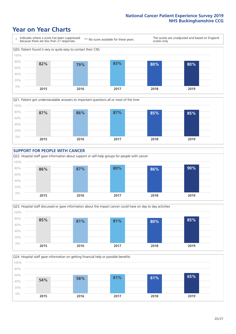# **Year on Year Charts**









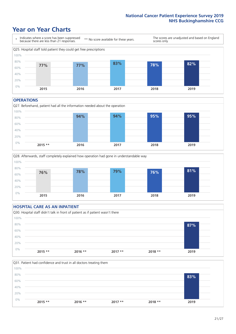# **Year on Year Charts**



#### **OPERATIONS**





### **HOSPITAL CARE AS AN INPATIENT** Q30. Hospital staff didn't talk in front of patient as if patient wasn't there 0% 20% 40% 60% 80% 100% **2015 \*\* 2016 \*\* 2017 \*\* 2018 \*\* 2019 87%**

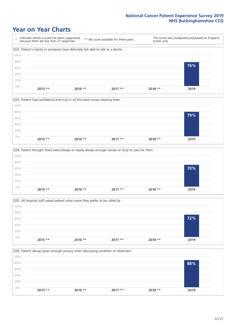# **Year on Year Charts**









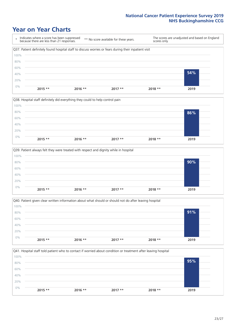# **Year on Year Charts**









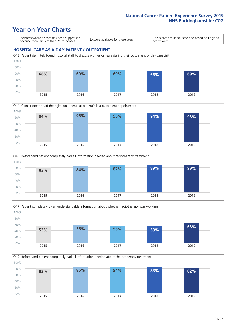# **Year on Year Charts**

\* Indicates where a score has been suppressed because there are less than 21 responses.

\*\* No score available for these years.

The scores are unadjusted and based on England scores only.

#### **HOSPITAL CARE AS A DAY PATIENT / OUTPATIENT**









Q49. Beforehand patient completely had all information needed about chemotherapy treatment 100%

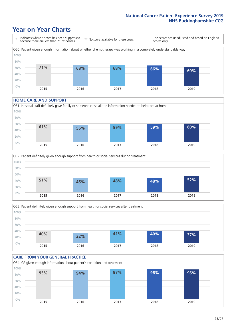# **Year on Year Charts**



#### **HOME CARE AND SUPPORT**







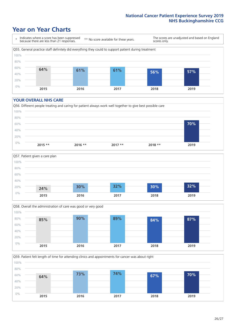# **Year on Year Charts**

\* Indicates where a score has been suppressed because there are less than 21 responses.

\*\* No score available for these years.

The scores are unadjusted and based on England scores only.



#### **YOUR OVERALL NHS CARE**







Q59. Patient felt length of time for attending clinics and appointments for cancer was about right